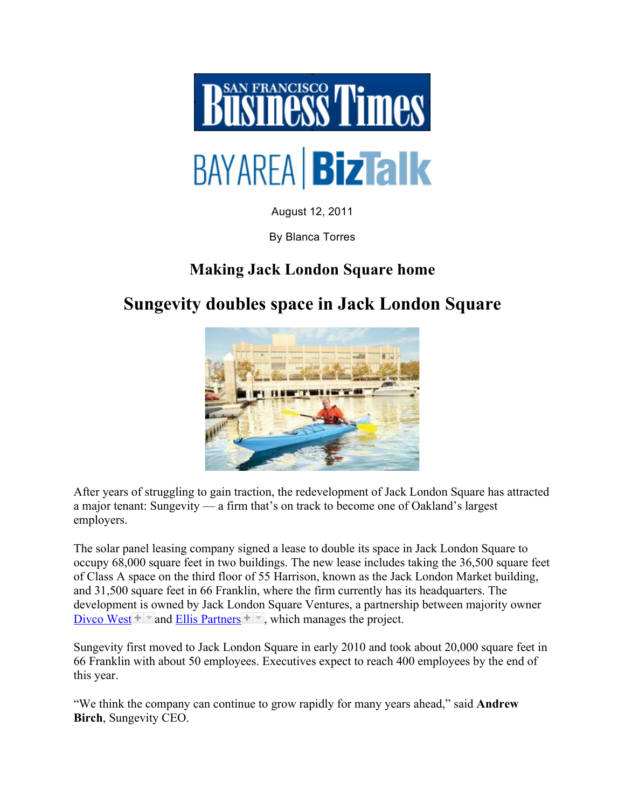

August 12, 2011

By Blanca Torres

## **Making Jack London Square home**

## **Sungevity doubles space in Jack London Square**



After years of struggling to gain traction, the redevelopment of Jack London Square has attracted a major tenant: Sungevity — a firm that's on track to become one of Oakland's largest employers.

The solar panel leasing company signed a lease to double its space in Jack London Square to occupy 68,000 square feet in two buildings. The new lease includes taking the 36,500 square feet of Class A space on the third floor of 55 Harrison, known as the Jack London Market building, and 31,500 square feet in 66 Franklin, where the firm currently has its headquarters. The development is owned by Jack London Square Ventures, a partnership between majority owner Divco West  $\blacksquare$  and Ellis Partners  $\blacksquare$ , which manages the project.

Sungevity first moved to Jack London Square in early 2010 and took about 20,000 square feet in 66 Franklin with about 50 employees. Executives expect to reach 400 employees by the end of this year.

"We think the company can continue to grow rapidly for many years ahead," said **Andrew Birch**, Sungevity CEO.